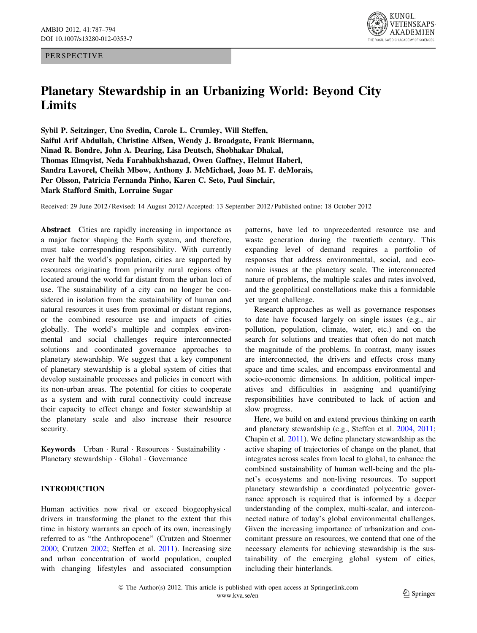## PERSPECTIVE



# Planetary Stewardship in an Urbanizing World: Beyond City **Limits**

Sybil P. Seitzinger, Uno Svedin, Carole L. Crumley, Will Steffen, Saiful Arif Abdullah, Christine Alfsen, Wendy J. Broadgate, Frank Biermann, Ninad R. Bondre, John A. Dearing, Lisa Deutsch, Shobhakar Dhakal, Thomas Elmqvist, Neda Farahbakhshazad, Owen Gaffney, Helmut Haberl, Sandra Lavorel, Cheikh Mbow, Anthony J. McMichael, Joao M. F. deMorais, Per Olsson, Patricia Fernanda Pinho, Karen C. Seto, Paul Sinclair, Mark Stafford Smith, Lorraine Sugar

Received: 29 June 2012 / Revised: 14 August 2012 / Accepted: 13 September 2012 / Published online: 18 October 2012

Abstract Cities are rapidly increasing in importance as a major factor shaping the Earth system, and therefore, must take corresponding responsibility. With currently over half the world's population, cities are supported by resources originating from primarily rural regions often located around the world far distant from the urban loci of use. The sustainability of a city can no longer be considered in isolation from the sustainability of human and natural resources it uses from proximal or distant regions, or the combined resource use and impacts of cities globally. The world's multiple and complex environmental and social challenges require interconnected solutions and coordinated governance approaches to planetary stewardship. We suggest that a key component of planetary stewardship is a global system of cities that develop sustainable processes and policies in concert with its non-urban areas. The potential for cities to cooperate as a system and with rural connectivity could increase their capacity to effect change and foster stewardship at the planetary scale and also increase their resource security.

Keywords Urban · Rural · Resources · Sustainability · Planetary stewardship · Global · Governance

# INTRODUCTION

Human activities now rival or exceed biogeophysical drivers in transforming the planet to the extent that this time in history warrants an epoch of its own, increasingly referred to as ''the Anthropocene'' (Crutzen and Stoermer [2000;](#page-5-0) Crutzen [2002](#page-5-0); Steffen et al. [2011](#page-5-0)). Increasing size and urban concentration of world population, coupled with changing lifestyles and associated consumption

patterns, have led to unprecedented resource use and waste generation during the twentieth century. This expanding level of demand requires a portfolio of responses that address environmental, social, and economic issues at the planetary scale. The interconnected nature of problems, the multiple scales and rates involved, and the geopolitical constellations make this a formidable yet urgent challenge.

Research approaches as well as governance responses to date have focused largely on single issues (e.g., air pollution, population, climate, water, etc.) and on the search for solutions and treaties that often do not match the magnitude of the problems. In contrast, many issues are interconnected, the drivers and effects cross many space and time scales, and encompass environmental and socio-economic dimensions. In addition, political imperatives and difficulties in assigning and quantifying responsibilities have contributed to lack of action and slow progress.

Here, we build on and extend previous thinking on earth and planetary stewardship (e.g., Steffen et al. [2004,](#page-5-0) [2011](#page-5-0); Chapin et al. [2011\)](#page-5-0). We define planetary stewardship as the active shaping of trajectories of change on the planet, that integrates across scales from local to global, to enhance the combined sustainability of human well-being and the planet's ecosystems and non-living resources. To support planetary stewardship a coordinated polycentric governance approach is required that is informed by a deeper understanding of the complex, multi-scalar, and interconnected nature of today's global environmental challenges. Given the increasing importance of urbanization and concomitant pressure on resources, we contend that one of the necessary elements for achieving stewardship is the sustainability of the emerging global system of cities, including their hinterlands.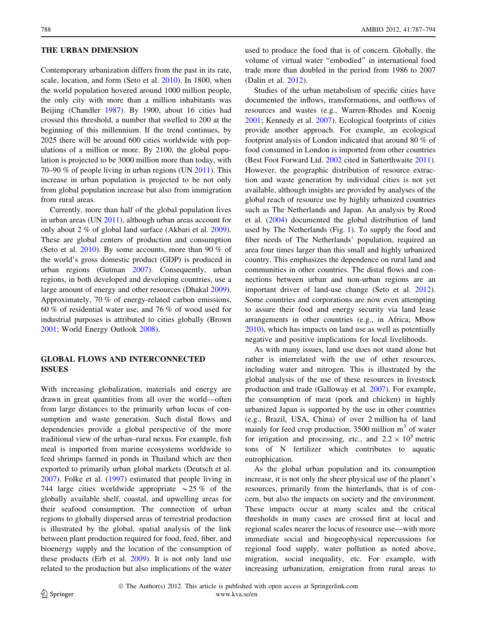#### THE URBAN DIMENSION

Contemporary urbanization differs from the past in its rate, scale, location, and form (Seto et al. [2010\)](#page-5-0). In 1800, when the world population hovered around 1000 million people, the only city with more than a million inhabitants was Beijing (Chandler [1987\)](#page-5-0). By 1900, about 16 cities had crossed this threshold, a number that swelled to 200 at the beginning of this millennium. If the trend continues, by 2025 there will be around 600 cities worldwide with populations of a million or more. By 2100, the global population is projected to be 3000 million more than today, with 70–90 % of people living in urban regions (UN [2011\)](#page-5-0). This increase in urban population is projected to be not only from global population increase but also from immigration from rural areas.

Currently, more than half of the global population lives in urban areas (UN [2011\)](#page-5-0), although urban areas account for only about 2 % of global land surface (Akbari et al. [2009](#page-5-0)). These are global centers of production and consumption (Seto et al.  $2010$ ). By some accounts, more than 90 % of the world's gross domestic product (GDP) is produced in urban regions (Gutman [2007](#page-5-0)). Consequently, urban regions, in both developed and developing countries, use a large amount of energy and other resources (Dhakal [2009](#page-5-0)). Approximately, 70 % of energy-related carbon emissions, 60 % of residential water use, and 76 % of wood used for industrial purposes is attributed to cities globally (Brown [2001;](#page-5-0) World Energy Outlook [2008](#page-6-0)).

# GLOBAL FLOWS AND INTERCONNECTED ISSUES

With increasing globalization, materials and energy are drawn in great quantities from all over the world—often from large distances to the primarily urban locus of consumption and waste generation. Such distal flows and dependencies provide a global perspective of the more traditional view of the urban–rural nexus. For example, fish meal is imported from marine ecosystems worldwide to feed shrimps farmed in ponds in Thailand which are then exported to primarily urban global markets (Deutsch et al. [2007\)](#page-5-0). Folke et al. [\(1997](#page-5-0)) estimated that people living in 744 large cities worldwide appropriate  $\sim$  25 % of the globally available shelf, coastal, and upwelling areas for their seafood consumption. The connection of urban regions to globally dispersed areas of terrestrial production is illustrated by the global, spatial analysis of the link between plant production required for food, feed, fiber, and bioenergy supply and the location of the consumption of these products (Erb et al. [2009\)](#page-5-0). It is not only land use related to the production but also implications of the water

used to produce the food that is of concern. Globally, the volume of virtual water ''embodied'' in international food trade more than doubled in the period from 1986 to 2007 (Dalin et al. [2012\)](#page-5-0).

Studies of the urban metabolism of specific cities have documented the inflows, transformations, and outflows of resources and wastes (e.g., Warren-Rhodes and Koenig [2001](#page-5-0); Kennedy et al. [2007\)](#page-5-0). Ecological footprints of cities provide another approach. For example, an ecological footprint analysis of London indicated that around 80 % of food consumed in London is imported from other countries (Best Foot Forward Ltd. [2002](#page-5-0) cited in Satterthwaite [2011](#page-5-0)). However, the geographic distribution of resource extraction and waste generation by individual cities is not yet available, although insights are provided by analyses of the global reach of resource use by highly urbanized countries such as The Netherlands and Japan. An analysis by Rood et al. ([2004\)](#page-5-0) documented the global distribution of land used by The Netherlands (Fig. [1\)](#page-2-0). To supply the food and fiber needs of The Netherlands' population, required an area four times larger than this small and highly urbanized country. This emphasizes the dependence on rural land and communities in other countries. The distal flows and connections between urban and non-urban regions are an important driver of land-use change (Seto et al. [2012](#page-5-0)). Some countries and corporations are now even attempting to assure their food and energy security via land lease arrangements in other countries (e.g., in Africa; Mbow [2010](#page-5-0)), which has impacts on land use as well as potentially negative and positive implications for local livelihoods.

As with many issues, land use does not stand alone but rather is interrelated with the use of other resources, including water and nitrogen. This is illustrated by the global analysis of the use of these resources in livestock production and trade (Galloway et al. [2007\)](#page-5-0). For example, the consumption of meat (pork and chicken) in highly urbanized Japan is supported by the use in other countries (e.g., Brazil, USA, China) of over 2 million ha of land mainly for feed crop production,  $3500$  million m<sup>3</sup> of water for irrigation and processing, etc., and  $2.2 \times 10^5$  metric tons of N fertilizer which contributes to aquatic eutrophication.

As the global urban population and its consumption increase, it is not only the sheer physical use of the planet's resources, primarily from the hinterlands, that is of concern, but also the impacts on society and the environment. These impacts occur at many scales and the critical thresholds in many cases are crossed first at local and regional scales nearer the locus of resource use—with more immediate social and biogeophysical repercussions for regional food supply, water pollution as noted above, migration, social inequality, etc. For example, with increasing urbanization, emigration from rural areas to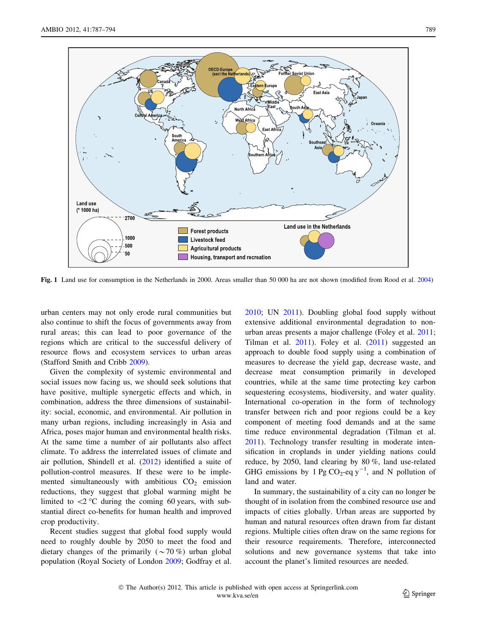<span id="page-2-0"></span>

Fig. 1 Land use for consumption in the Netherlands in 2000. Areas smaller than 50 000 ha are not shown (modified from Rood et al. [2004](#page-5-0))

urban centers may not only erode rural communities but also continue to shift the focus of governments away from rural areas; this can lead to poor governance of the regions which are critical to the successful delivery of resource flows and ecosystem services to urban areas (Stafford Smith and Cribb [2009](#page-5-0)).

Given the complexity of systemic environmental and social issues now facing us, we should seek solutions that have positive, multiple synergetic effects and which, in combination, address the three dimensions of sustainability: social, economic, and environmental. Air pollution in many urban regions, including increasingly in Asia and Africa, poses major human and environmental health risks. At the same time a number of air pollutants also affect climate. To address the interrelated issues of climate and air pollution, Shindell et al. ([2012](#page-5-0)) identified a suite of pollution-control measures. If these were to be implemented simultaneously with ambitious  $CO<sub>2</sub>$  emission reductions, they suggest that global warming might be limited to  $\langle 2 \, ^\circ \text{C}$  during the coming 60 years, with substantial direct co-benefits for human health and improved crop productivity.

Recent studies suggest that global food supply would need to roughly double by 2050 to meet the food and dietary changes of the primarily ( $\sim$ 70 %) urban global population (Royal Society of London [2009](#page-5-0); Godfray et al. [2010](#page-5-0); UN [2011\)](#page-5-0). Doubling global food supply without extensive additional environmental degradation to nonurban areas presents a major challenge (Foley et al. [2011](#page-5-0); Tilman et al. [2011](#page-5-0)). Foley et al. ([2011\)](#page-5-0) suggested an approach to double food supply using a combination of measures to decrease the yield gap, decrease waste, and decrease meat consumption primarily in developed countries, while at the same time protecting key carbon sequestering ecosystems, biodiversity, and water quality. International co-operation in the form of technology transfer between rich and poor regions could be a key component of meeting food demands and at the same time reduce environmental degradation (Tilman et al. [2011](#page-5-0)). Technology transfer resulting in moderate intensification in croplands in under yielding nations could reduce, by 2050, land clearing by 80 %, land use-related GHG emissions by 1 Pg  $CO_2$ -eq  $y^{-1}$ , and N pollution of land and water.

In summary, the sustainability of a city can no longer be thought of in isolation from the combined resource use and impacts of cities globally. Urban areas are supported by human and natural resources often drawn from far distant regions. Multiple cities often draw on the same regions for their resource requirements. Therefore, interconnected solutions and new governance systems that take into account the planet's limited resources are needed.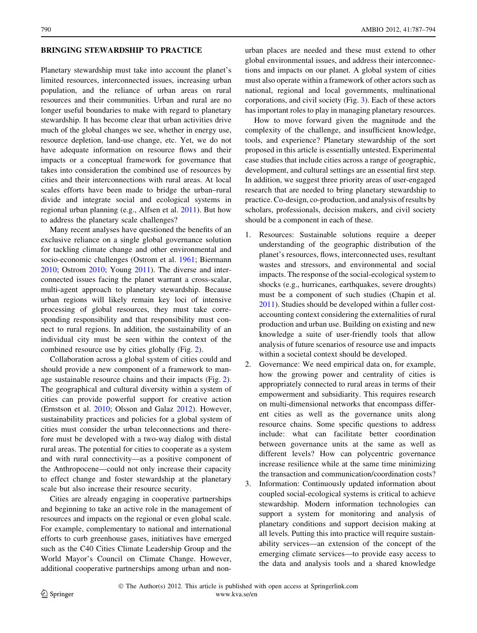## BRINGING STEWARDSHIP TO PRACTICE

Planetary stewardship must take into account the planet's limited resources, interconnected issues, increasing urban population, and the reliance of urban areas on rural resources and their communities. Urban and rural are no longer useful boundaries to make with regard to planetary stewardship. It has become clear that urban activities drive much of the global changes we see, whether in energy use, resource depletion, land-use change, etc. Yet, we do not have adequate information on resource flows and their impacts or a conceptual framework for governance that takes into consideration the combined use of resources by cities and their interconnections with rural areas. At local scales efforts have been made to bridge the urban–rural divide and integrate social and ecological systems in regional urban planning (e.g., Alfsen et al. [2011\)](#page-5-0). But how to address the planetary scale challenges?

Many recent analyses have questioned the benefits of an exclusive reliance on a single global governance solution for tackling climate change and other environmental and socio-economic challenges (Ostrom et al. [1961](#page-5-0); Biermann [2010;](#page-5-0) Ostrom [2010;](#page-5-0) Young [2011](#page-6-0)). The diverse and interconnected issues facing the planet warrant a cross-scalar, multi-agent approach to planetary stewardship. Because urban regions will likely remain key loci of intensive processing of global resources, they must take corresponding responsibility and that responsibility must connect to rural regions. In addition, the sustainability of an individual city must be seen within the context of the combined resource use by cities globally (Fig. [2](#page-4-0)).

Collaboration across a global system of cities could and should provide a new component of a framework to manage sustainable resource chains and their impacts (Fig. [2](#page-4-0)). The geographical and cultural diversity within a system of cities can provide powerful support for creative action (Ernstson et al. [2010](#page-5-0); Olsson and Galaz [2012](#page-5-0)). However, sustainability practices and policies for a global system of cities must consider the urban teleconnections and therefore must be developed with a two-way dialog with distal rural areas. The potential for cities to cooperate as a system and with rural connectivity—as a positive component of the Anthropocene—could not only increase their capacity to effect change and foster stewardship at the planetary scale but also increase their resource security.

Cities are already engaging in cooperative partnerships and beginning to take an active role in the management of resources and impacts on the regional or even global scale. For example, complementary to national and international efforts to curb greenhouse gases, initiatives have emerged such as the C40 Cities Climate Leadership Group and the World Mayor's Council on Climate Change. However, additional cooperative partnerships among urban and non-

urban places are needed and these must extend to other global environmental issues, and address their interconnections and impacts on our planet. A global system of cities must also operate within a framework of other actors such as national, regional and local governments, multinational corporations, and civil society (Fig. [3\)](#page-4-0). Each of these actors has important roles to play in managing planetary resources.

How to move forward given the magnitude and the complexity of the challenge, and insufficient knowledge, tools, and experience? Planetary stewardship of the sort proposed in this article is essentially untested. Experimental case studies that include cities across a range of geographic, development, and cultural settings are an essential first step. In addition, we suggest three priority areas of user-engaged research that are needed to bring planetary stewardship to practice. Co-design, co-production, and analysis of results by scholars, professionals, decision makers, and civil society should be a component in each of these.

- 1. Resources: Sustainable solutions require a deeper understanding of the geographic distribution of the planet's resources, flows, interconnected uses, resultant wastes and stressors, and environmental and social impacts. The response of the social-ecological system to shocks (e.g., hurricanes, earthquakes, severe droughts) must be a component of such studies (Chapin et al. [2011\)](#page-5-0). Studies should be developed within a fuller costaccounting context considering the externalities of rural production and urban use. Building on existing and new knowledge a suite of user-friendly tools that allow analysis of future scenarios of resource use and impacts within a societal context should be developed.
- 2. Governance: We need empirical data on, for example, how the growing power and centrality of cities is appropriately connected to rural areas in terms of their empowerment and subsidiarity. This requires research on multi-dimensional networks that encompass different cities as well as the governance units along resource chains. Some specific questions to address include: what can facilitate better coordination between governance units at the same as well as different levels? How can polycentric governance increase resilience while at the same time minimizing the transaction and communication/coordination costs?
- 3. Information: Continuously updated information about coupled social-ecological systems is critical to achieve stewardship. Modern information technologies can support a system for monitoring and analysis of planetary conditions and support decision making at all levels. Putting this into practice will require sustainability services—an extension of the concept of the emerging climate services—to provide easy access to the data and analysis tools and a shared knowledge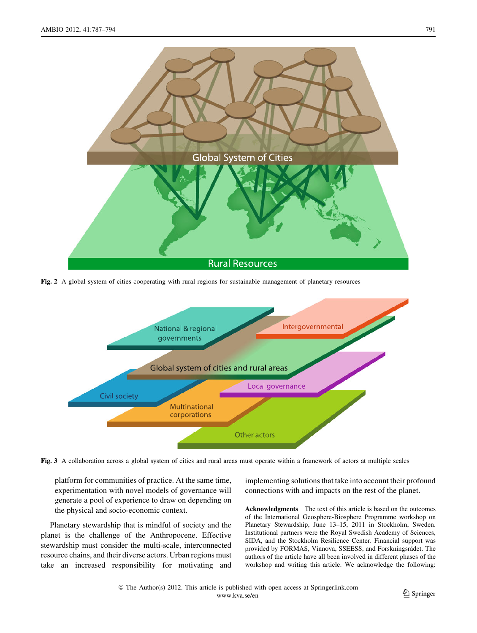<span id="page-4-0"></span>

Fig. 2 A global system of cities cooperating with rural regions for sustainable management of planetary resources



Fig. 3 A collaboration across a global system of cities and rural areas must operate within a framework of actors at multiple scales

platform for communities of practice. At the same time, experimentation with novel models of governance will generate a pool of experience to draw on depending on the physical and socio-economic context.

Planetary stewardship that is mindful of society and the planet is the challenge of the Anthropocene. Effective stewardship must consider the multi-scale, interconnected resource chains, and their diverse actors. Urban regions must take an increased responsibility for motivating and implementing solutions that take into account their profound connections with and impacts on the rest of the planet.

Acknowledgments The text of this article is based on the outcomes of the International Geosphere-Biosphere Programme workshop on Planetary Stewardship, June 13–15, 2011 in Stockholm, Sweden. Institutional partners were the Royal Swedish Academy of Sciences, SIDA, and the Stockholm Resilience Center. Financial support was provided by FORMAS, Vinnova, SSEESS, and Forskningsrådet. The authors of the article have all been involved in different phases of the workshop and writing this article. We acknowledge the following: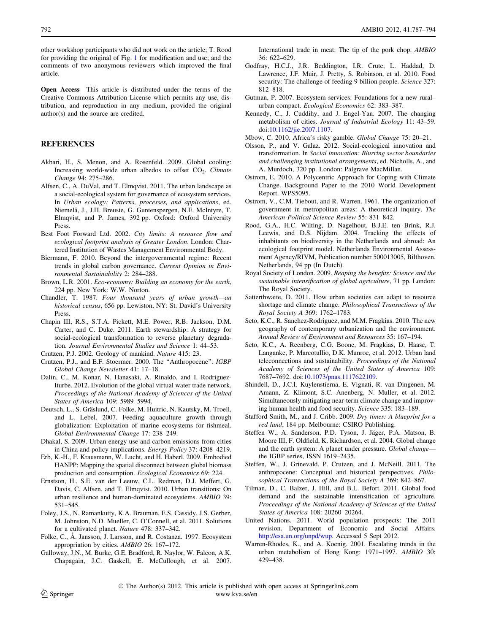<span id="page-5-0"></span>other workshop participants who did not work on the article; T. Rood for providing the original of Fig. [1](#page-2-0) for modification and use; and the comments of two anonymous reviewers which improved the final article.

Open Access This article is distributed under the terms of the Creative Commons Attribution License which permits any use, distribution, and reproduction in any medium, provided the original author(s) and the source are credited.

## **REFERENCES**

- Akbari, H., S. Menon, and A. Rosenfeld. 2009. Global cooling: Increasing world-wide urban albedos to offset  $CO<sub>2</sub>$ . Climate Change 94: 275–286.
- Alfsen, C., A. DuVal, and T. Elmqvist. 2011. The urban landscape as a social-ecological system for governance of ecosystem services. In Urban ecology: Patterns, processes, and applications, ed. Niemelä, J., J.H. Breuste, G. Guntenspergen, N.E. McIntyre, T. Elmqvist, and P. James, 392 pp. Oxford: Oxford University Press.
- Best Foot Forward Ltd. 2002. City limits: A resource flow and ecological footprint analysis of Greater London. London: Chartered Institution of Wastes Management Environmental Body.
- Biermann, F. 2010. Beyond the intergovernmental regime: Recent trends in global carbon governance. Current Opinion in Environmental Sustainability 2: 284–288.
- Brown, L.R. 2001. Eco-economy: Building an economy for the earth, 224 pp. New York: W.W. Norton.
- Chandler, T. 1987. Four thousand years of urban growth—an historical census, 656 pp. Lewiston, NY: St. David's University Press.
- Chapin III, R.S., S.T.A. Pickett, M.E. Power, R.B. Jackson, D.M. Carter, and C. Duke. 2011. Earth stewardship: A strategy for social-ecological transformation to reverse planetary degradation. Journal Environmental Studies and Science 1: 44–53.
- Crutzen, P.J. 2002. Geology of mankind. Nature 415: 23.
- Crutzen, P.J., and E.F. Stoermer. 2000. The ''Anthropocene''. IGBP Global Change Newsletter 41: 17–18.
- Dalin, C., M. Konar, N. Hanasaki, A. Rinaldo, and I. Rodriguez-Iturbe. 2012. Evolution of the global virtual water trade network. Proceedings of the National Academy of Sciences of the United States of America 109: 5989–5994.
- Deutsch, L., S. Gräslund, C. Folke, M. Huitric, N. Kautsky, M. Troell, and L. Lebel. 2007. Feeding aquaculture growth through globalization: Exploitation of marine ecosystems for fishmeal. Global Environmental Change 17: 238–249.
- Dhakal, S. 2009. Urban energy use and carbon emissions from cities in China and policy implications. Energy Policy 37: 4208–4219.
- Erb, K.-H., F. Krausmann, W. Lucht, and H. Haberl. 2009. Embodied HANPP: Mapping the spatial disconnect between global biomass production and consumption. Ecological Economics 69: 224.
- Ernstson, H., S.E. van der Leeuw, C.L. Redman, D.J. Meffert, G. Davis, C. Alfsen, and T. Elmqvist. 2010. Urban transitions: On urban resilience and human-dominated ecosystems. AMBIO 39: 531–545.
- Foley, J.S., N. Ramankutty, K.A. Brauman, E.S. Cassidy, J.S. Gerber, M. Johnston, N.D. Mueller, C. O'Connell, et al. 2011. Solutions for a cultivated planet. Nature 478: 337–342.
- Folke, C., A. Jansson, J. Larsson, and R. Costanza. 1997. Ecosystem appropriation by cities. AMBIO 26: 167–172.
- Galloway, J.N., M. Burke, G.E. Bradford, R. Naylor, W. Falcon, A.K. Chapagain, J.C. Gaskell, E. McCullough, et al. 2007.

International trade in meat: The tip of the pork chop. AMBIO 36: 622–629.

- Godfray, H.C.J., J.R. Beddington, I.R. Crute, L. Haddad, D. Lawrence, J.F. Muir, J. Pretty, S. Robinson, et al. 2010. Food security: The challenge of feeding 9 billion people. Science 327: 812–818.
- Gutman, P. 2007. Ecosystem services: Foundations for a new rural– urban compact. Ecological Economics 62: 383–387.
- Kennedy, C., J. Cuddihy, and J. Engel-Yan. 2007. The changing metabolism of cities. Journal of Industrial Ecology 11: 43–59. doi[:10.1162/jie.2007.1107.](http://dx.doi.org/10.1162/jie.2007.1107)

Mbow, C. 2010. Africa's risky gamble. Global Change 75: 20–21.

- Olsson, P., and V. Galaz. 2012. Social-ecological innovation and transformation. In Social innovation: Blurring sector boundaries and challenging institutional arrangements, ed. Nicholls, A., and A. Murdoch, 320 pp. London: Palgrave MacMillan.
- Ostrom, E. 2010. A Polycentric Approach for Coping with Climate Change. Background Paper to the 2010 World Development Report. WPS5095.
- Ostrom, V., C.M. Tiebout, and R. Warren. 1961. The organization of government in metropolitan areas: A theoretical inquiry. The American Political Science Review 55: 831–842.
- Rood, G.A., H.C. Wilting, D. Nagelhout, B.J.E. ten Brink, R.J. Leewis, and D.S. Nijdam. 2004. Tracking the effects of inhabitants on biodiversity in the Netherlands and abroad: An ecological footprint model. Netherlands Environmental Assessment Agency/RIVM, Publication number 500013005, Bilthoven. Netherlands, 94 pp (In Dutch).
- Royal Society of London. 2009. Reaping the benefits: Science and the sustainable intensification of global agriculture, 71 pp. London: The Royal Society.
- Satterthwaite, D. 2011. How urban societies can adapt to resource shortage and climate change. Philosophical Transactions of the Royal Society A 369: 1762–1783.
- Seto, K.C., R. Sanchez-Rodriguez, and M.M. Fragkias. 2010. The new geography of contemporary urbanization and the environment. Annual Review of Environment and Resources 35: 167–194.
- Seto, K.C., A. Reenberg, C.G. Boone, M. Fragkias, D. Haase, T. Langanke, P. Marcotullio, D.K. Munroe, et al. 2012. Urban land teleconnections and sustainability. Proceedings of the National Academy of Sciences of the United States of America 109: 7687–7692. doi[:10.1073/pnas.1117622109](http://dx.doi.org/10.1073/pnas.1117622109).
- Shindell, D., J.C.I. Kuylenstierna, E. Vignati, R. van Dingenen, M. Amann, Z. Klimont, S.C. Anenberg, N. Muller, et al. 2012. Simultaneously mitigating near-term climate change and improving human health and food security. Science 335: 183–189.
- Stafford Smith, M., and J. Cribb. 2009. Dry times: A blueprint for a red land, 184 pp. Melbourne: CSIRO Publishing.
- Steffen W., A. Sanderson, P.D. Tyson, J. Jäger, P.A. Matson, B. Moore III, F. Oldfield, K. Richardson, et al. 2004. Global change and the earth system: A planet under pressure. Global change the IGBP series, ISSN 1619–2435.
- Steffen, W., J. Grinevald, P. Crutzen, and J. McNeill. 2011. The anthropocene: Conceptual and historical perspectives. Philosophical Transactions of the Royal Society A 369: 842–867.
- Tilman, D., C. Balzer, J. Hill, and B.L. Befort. 2011. Global food demand and the sustainable intensification of agriculture. Proceedings of the National Academy of Sciences of the United States of America 108: 20260–20264.
- United Nations. 2011. World population prospects: The 2011 revision. Department of Economic and Social Affairs. [http://esa.un.org/unpd/wup.](http://esa.un.org/unpd/wup) Accessed 5 Sept 2012.
- Warren-Rhodes, K., and A. Koenig. 2001. Escalating trends in the urban metabolism of Hong Kong: 1971–1997. AMBIO 30: 429–438.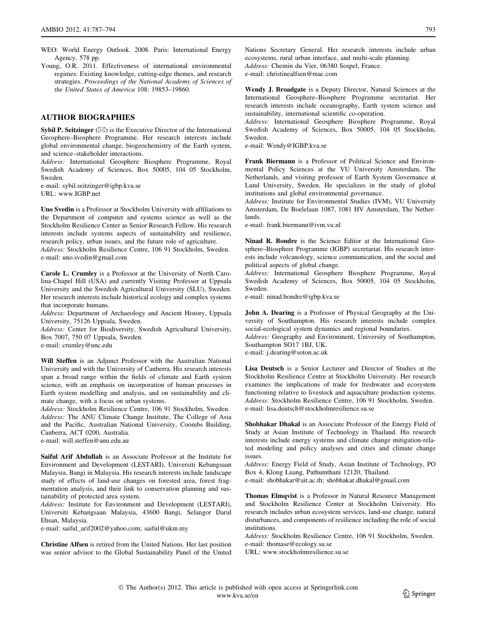<span id="page-6-0"></span>WEO: World Energy Outlook. 2008. Paris: International Energy Agency, 578 pp.

Young, O.R. 2011. Effectiveness of international environmental regimes: Existing knowledge, cutting-edge themes, and research strategies. Proceedings of the National Academy of Sciences of the United States of America 108: 19853–19860.

# AUTHOR BIOGRAPHIES

Sybil P. Seitzinger  $(\boxtimes)$  is the Executive Director of the International Geosphere–Biosphere Programme. Her research interests include global environmental change, biogeochemistry of the Earth system, and science–stakeholder interactions.

Address: International Geosphere Biosphere Programme, Royal Swedish Academy of Sciences, Box 50005, 104 05 Stockholm, Sweden.

e-mail: sybil.seitzinger@igbp.kva.se URL: www.IGBP.net

Uno Svedin is a Professor at Stockholm University with affiliations to the Department of computer and systems science as well as the Stockholm Resilience Center as Senior Research Fellow. His research interests include systems aspects of sustainability and resilience, research policy, urban issues, and the future role of agriculture.

Address: Stockholm Resilience Centre, 106 91 Stockholm, Sweden. e-mail: uno.svedin@gmail.com

Carole L. Crumley is a Professor at the University of North Carolina-Chapel Hill (USA) and currently Visiting Professor at Uppsala University and the Swedish Agricultural University (SLU), Sweden. Her research interests include historical ecology and complex systems that incorporate humans.

Address: Department of Archaeology and Ancient History, Uppsala University, 75126 Uppsala, Sweden.

Address: Center for Biodiversity, Swedish Agricultural University, Box 7007, 750 07 Uppsala, Sweden.

e-mail: crumley@unc.edu

Will Steffen is an Adjunct Professor with the Australian National University and with the University of Canberra. His research interests span a broad range within the fields of climate and Earth system science, with an emphasis on incorporation of human processes in Earth system modelling and analysis, and on sustainability and climate change, with a focus on urban systems.

Address: Stockholm Resilience Centre, 106 91 Stockholm, Sweden. Address: The ANU Climate Change Institute, The College of Asia and the Pacific, Australian National University, Coombs Building, Canberra, ACT 0200, Australia.

e-mail: will.steffen@anu.edu.au

Saiful Arif Abdullah is an Associate Professor at the Institute for Environment and Development (LESTARI), Universiti Kebangsaan Malaysia, Bangi in Malaysia. His research interests include landscape study of effects of land-use changes on forested area, forest fragmentation analysis, and their link to conservation planning and sustainability of protected area system.

Address: Institute for Environment and Development (LESTARI), Universiti Kebangsaan Malaysia, 43600 Bangi, Selangor Darul Ehsan, Malaysia.

e-mail: saiful\_arif2002@yahoo.com; saiful@ukm.my

Christine Alfsen is retired from the United Nations. Her last position was senior advisor to the Global Sustainability Panel of the United

Nations Secretary General. Her research interests include urban ecosystems, rural urban interface, and multi-scale planning. Address: Chemin du Vier, 06380 Sospel, France. e-mail: christinealfsen@mac.com

Wendy J. Broadgate is a Deputy Director, Natural Sciences at the International Geosphere–Biosphere Programme secretariat. Her research interests include oceanography, Earth system science and sustainability, international scientific co-operation.

Address: International Geosphere Biosphere Programme, Royal Swedish Academy of Sciences, Box 50005, 104 05 Stockholm, Sweden.

e-mail: Wendy@IGBP.kva.se

Frank Biermann is a Professor of Political Science and Environmental Policy Sciences at the VU University Amsterdam, The Netherlands, and visiting professor of Earth System Governance at Lund University, Sweden. He specializes in the study of global institutions and global environmental governance.

Address: Institute for Environmental Studies (IVM), VU University Amsterdam, De Boelelaan 1087, 1081 HV Amsterdam, The Netherlands.

e-mail: frank.biermann@ivm.vu.nl

Ninad R. Bondre is the Science Editor at the International Geosphere–Biosphere Programme (IGBP) secretariat. His research interests include volcanology, science communication, and the social and political aspects of global change.

Address: International Geosphere Biosphere Programme, Royal Swedish Academy of Sciences, Box 50005, 104 05 Stockholm, Sweden.

e-mail: ninad.bondre@igbp.kva.se

John A. Dearing is a Professor of Physical Geography at the University of Southampton. His research interests include complex social-ecological system dynamics and regional boundaries. Address: Geography and Environment, University of Southampton, Southampton SO17 1BJ, UK. e-mail: j.dearing@soton.ac.uk

Lisa Deutsch is a Senior Lecturer and Director of Studies at the Stockholm Resilience Centre at Stockholm University. Her research examines the implications of trade for freshwater and ecosystem functioning relative to livestock and aquaculture production systems. Address: Stockholm Resilience Centre, 106 91 Stockholm, Sweden. e-mail: lisa.deutsch@stockholmresilience.su.se

Shobhakar Dhakal is an Associate Professor of the Energy Field of Study at Asian Institute of Technology in Thailand. His research interests include energy systems and climate change mitigation-related modeling and policy analyses and cities and climate change issues.

Address: Energy Field of Study, Asian Institute of Technology, PO Box 4, Klong Luang, Pathumthani 12120, Thailand. e-mail: shobhakar@ait.ac.th; shobhakar.dhakal@gmail.com

Thomas Elmqvist is a Professor in Natural Resource Management and Stockholm Resilience Center at Stockholm University. His research includes urban ecosystem services, land-use change, natural disturbances, and components of resilience including the role of social institutions.

Address: Stockholm Resilience Centre, 106 91 Stockholm, Sweden. e-mail: thomase@ecology.su.se

URL: www.stockholmresilience.su.se